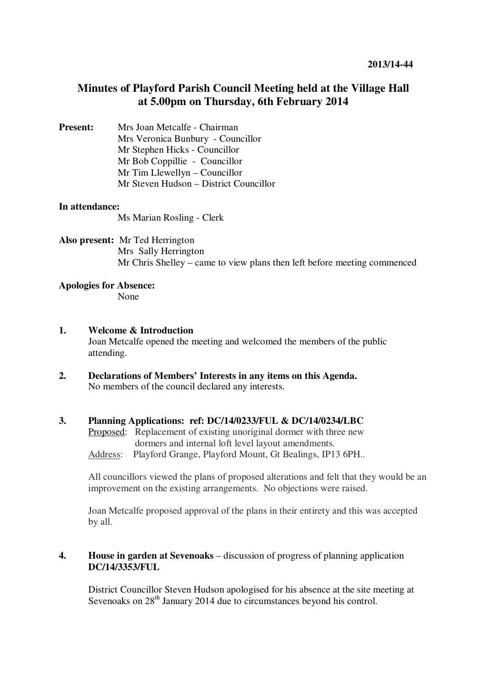# **Minutes of Playford Parish Council Meeting held at the Village Hall at 5.00pm on Thursday, 6th February 2014**

### **Present:** Mrs Joan Metcalfe - Chairman Mrs Veronica Bunbury - Councillor Mr Stephen Hicks - Councillor Mr Bob Coppillie - Councillor Mr Tim Llewellyn – Councillor Mr Steven Hudson – District Councillor

#### **In attendance:**

Ms Marian Rosling - Clerk

#### **Also present:** Mr Ted Herrington Mrs Sally Herrington Mr Chris Shelley – came to view plans then left before meeting commenced

## **Apologies for Absence:**

None

#### **1. Welcome & Introduction**

Joan Metcalfe opened the meeting and welcomed the members of the public attending.

**2. Declarations of Members' Interests in any items on this Agenda.**  No members of the council declared any interests.

#### **3. Planning Applications: ref: DC/14/0233/FUL & DC/14/0234/LBC**

Proposed: Replacement of existing unoriginal dormer with three new dormers and internal loft level layout amendments. Address: Playford Grange, Playford Mount, Gt Bealings, IP13 6PH..

All councillors viewed the plans of proposed alterations and felt that they would be an improvement on the existing arrangements. No objections were raised.

Joan Metcalfe proposed approval of the plans in their entirety and this was accepted by all.

#### **4. House in garden at Sevenoaks** – discussion of progress of planning application **DC/14/3353/FUL**

District Councillor Steven Hudson apologised for his absence at the site meeting at Sevenoaks on 28<sup>th</sup> January 2014 due to circumstances beyond his control.